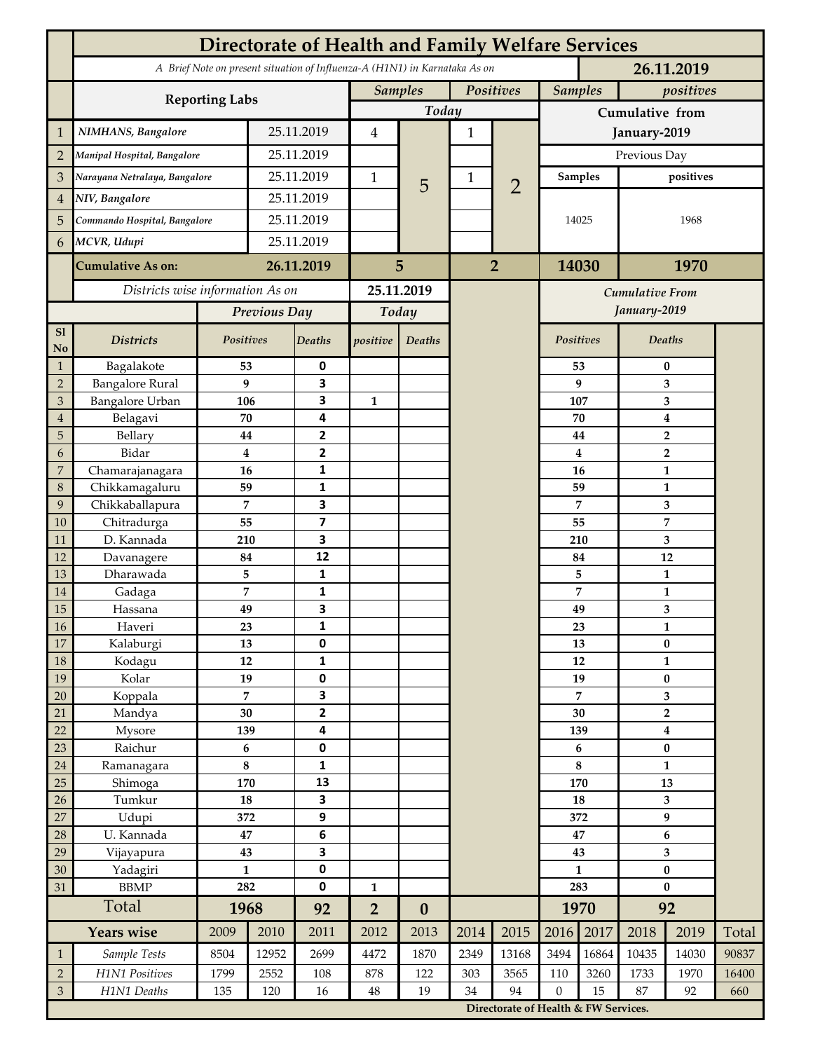|                             | <b>Directorate of Health and Family Welfare Services</b>                                 |                                 |            |                         |                |                  |                |                                                                              |                 |              |                                             |                               |       |  |
|-----------------------------|------------------------------------------------------------------------------------------|---------------------------------|------------|-------------------------|----------------|------------------|----------------|------------------------------------------------------------------------------|-----------------|--------------|---------------------------------------------|-------------------------------|-------|--|
|                             | A Brief Note on present situation of Influenza-A (H1N1) in Karnataka As on<br>26.11.2019 |                                 |            |                         |                |                  |                |                                                                              |                 |              |                                             |                               |       |  |
|                             |                                                                                          |                                 |            |                         | <b>Samples</b> |                  | Positives      |                                                                              | <b>Samples</b>  |              | positives                                   |                               |       |  |
|                             | <b>Reporting Labs</b>                                                                    |                                 |            |                         |                | Today            |                |                                                                              | Cumulative from |              |                                             |                               |       |  |
| $\mathbf{1}$                | NIMHANS, Bangalore                                                                       | 25.11.2019                      |            | $\overline{4}$          |                | 1                |                |                                                                              | January-2019    |              |                                             |                               |       |  |
| $\overline{2}$              | Manipal Hospital, Bangalore                                                              |                                 |            | 25.11.2019              |                |                  |                |                                                                              | Previous Day    |              |                                             |                               |       |  |
| 3                           | Narayana Netralaya, Bangalore                                                            |                                 |            | 25.11.2019              |                |                  | 1              |                                                                              | <b>Samples</b>  |              | positives                                   |                               |       |  |
| $\overline{4}$              | NIV, Bangalore                                                                           |                                 | 25.11.2019 |                         | $\mathbf{1}$   | 5                |                | $\overline{2}$                                                               |                 |              |                                             |                               |       |  |
| 5                           | Commando Hospital, Bangalore                                                             |                                 | 25.11.2019 |                         |                |                  |                |                                                                              | 14025           |              | 1968                                        |                               |       |  |
| 6                           | MCVR, Udupi                                                                              |                                 | 25.11.2019 |                         |                |                  |                |                                                                              |                 |              |                                             |                               |       |  |
|                             | <b>Cumulative As on:</b>                                                                 |                                 | 26.11.2019 |                         |                |                  | $\overline{2}$ |                                                                              | 14030           |              | 1970                                        |                               |       |  |
|                             |                                                                                          |                                 |            | 5                       |                |                  |                |                                                                              |                 |              |                                             |                               |       |  |
|                             | Districts wise information As on                                                         |                                 |            | 25.11.2019              |                |                  |                | <b>Cumulative From</b>                                                       |                 |              |                                             |                               |       |  |
|                             |                                                                                          | Previous Day                    |            | Today                   |                |                  |                |                                                                              |                 | January-2019 |                                             |                               |       |  |
| S1<br>No                    | <b>Districts</b>                                                                         | Positives                       |            | Deaths                  | positive       | Deaths           |                |                                                                              | Positives       |              |                                             | Deaths                        |       |  |
| $\mathbf{1}$                | Bagalakote                                                                               | 53                              |            | 0                       |                |                  |                |                                                                              |                 | 53           |                                             | $\bf{0}$                      |       |  |
| $\overline{2}$              | <b>Bangalore Rural</b>                                                                   | 9                               |            | 3                       |                |                  |                |                                                                              |                 | 9            | 3                                           |                               |       |  |
| 3                           | <b>Bangalore Urban</b>                                                                   | 106                             |            | 3<br>4                  | $\mathbf{1}$   |                  |                |                                                                              | 107             |              | 3                                           |                               |       |  |
| $\overline{4}$<br>5         | Belagavi<br>Bellary                                                                      | 70<br>44                        |            | $\mathbf{2}$            |                |                  |                |                                                                              |                 | 70<br>44     | $\boldsymbol{4}$<br>$\overline{\mathbf{2}}$ |                               |       |  |
| 6                           | Bidar                                                                                    | $\bf{4}$                        |            | 2                       |                |                  |                |                                                                              |                 | 4            |                                             | $\overline{2}$                |       |  |
| $\overline{7}$              | Chamarajanagara                                                                          | 16                              |            | 1                       |                |                  |                |                                                                              |                 | 16           |                                             | $\mathbf{1}$                  |       |  |
| 8                           | Chikkamagaluru                                                                           | 59                              |            | 1                       |                |                  |                |                                                                              |                 | 59           |                                             | 1                             |       |  |
| 9                           | Chikkaballapura                                                                          | 7                               |            | 3                       |                |                  |                |                                                                              |                 | 7            |                                             | 3                             |       |  |
| 10                          | Chitradurga                                                                              | 55                              |            | $\overline{\mathbf{z}}$ |                |                  |                |                                                                              | 55              |              |                                             | $\overline{7}$                |       |  |
| 11                          | D. Kannada                                                                               | 210                             |            | 3                       |                |                  |                |                                                                              |                 | 210          |                                             | 3                             |       |  |
| 12                          | Davanagere                                                                               | 84                              |            | 12                      |                |                  |                |                                                                              |                 | 84           |                                             | 12                            |       |  |
| 13                          | Dharawada                                                                                | 5                               |            | 1<br>1                  |                |                  |                |                                                                              |                 | 5            |                                             | 1                             |       |  |
| 14<br>15                    | Gadaga<br>Hassana                                                                        | $\overline{7}$<br>49            |            | 3                       |                |                  |                |                                                                              |                 | 7<br>49      |                                             | $\mathbf{1}$<br>3             |       |  |
| 16                          | Haveri                                                                                   | 23                              |            | 1                       |                |                  |                |                                                                              |                 | 23           |                                             | 1                             |       |  |
| 17                          | Kalaburgi                                                                                | 13                              |            | 0                       |                |                  |                |                                                                              |                 | 13           | $\pmb{0}$                                   |                               |       |  |
| 18                          | Kodagu                                                                                   | $12\,$                          |            | 1                       |                |                  |                |                                                                              |                 | 12           | $\mathbf{1}$                                |                               |       |  |
| 19                          | Kolar                                                                                    | 19                              |            | 0                       |                |                  |                |                                                                              |                 | 19           |                                             | $\bf{0}$                      |       |  |
| 20                          | Koppala                                                                                  | $\overline{7}$                  |            | 3                       |                |                  |                |                                                                              | 7               |              | 3                                           |                               |       |  |
| 21                          | Mandya                                                                                   | 30                              |            | $\overline{2}$          |                |                  |                |                                                                              |                 | 30           | $\overline{\mathbf{2}}$                     |                               |       |  |
| 22                          | Mysore                                                                                   | 139                             |            | 4                       |                |                  |                |                                                                              |                 | 139          |                                             | $\boldsymbol{4}$<br>$\pmb{0}$ |       |  |
| 23<br>24                    | Raichur<br>Ramanagara                                                                    | $\bf 6$<br>$\bf 8$              |            | 0<br>1                  |                |                  |                |                                                                              | 6<br>8          |              | $\mathbf{1}$                                |                               |       |  |
| 25                          | Shimoga                                                                                  | 170                             |            | 13                      |                |                  |                |                                                                              | 170             |              | 13                                          |                               |       |  |
| 26                          | Tumkur                                                                                   | 18                              |            | 3                       |                |                  |                |                                                                              | 18              |              | 3                                           |                               |       |  |
| 27                          | Udupi                                                                                    | 372                             |            | 9                       |                |                  |                |                                                                              | 372             |              | $\boldsymbol{9}$                            |                               |       |  |
| 28                          | U. Kannada                                                                               | $\bf 47$                        |            | 6                       |                |                  |                |                                                                              | 47              |              | 6                                           |                               |       |  |
| 29                          | Vijayapura                                                                               | 43                              |            | 3                       |                |                  |                |                                                                              | 43              |              | 3                                           |                               |       |  |
| 30                          | Yadagiri                                                                                 | $\mathbf{1}$                    |            | 0                       |                |                  |                |                                                                              | $\mathbf{1}$    |              | $\bf{0}$                                    |                               |       |  |
| 31                          | <b>BBMP</b>                                                                              | 282                             |            | 0                       | $\mathbf{1}$   |                  |                |                                                                              | 283             |              | $\bf{0}$                                    |                               |       |  |
|                             | Total                                                                                    | 1968                            |            | 92                      | $\overline{2}$ | $\boldsymbol{0}$ |                |                                                                              |                 | 1970         | 92                                          |                               |       |  |
|                             | <b>Years wise</b>                                                                        | 2009                            | 2010       | 2011                    | 2012           | 2013             | 2014           | 2015                                                                         | 2016            | 2017         | 2018                                        | 2019                          | Total |  |
| $\mathbf{1}$                | Sample Tests                                                                             | 8504                            | 12952      | 2699                    | 4472           | 1870             | 2349           | 13168                                                                        | 3494            | 16864        | 10435                                       | 14030                         | 90837 |  |
| $\sqrt{2}$                  | H1N1 Positives                                                                           | 1799                            | 2552       | 108                     | 878            | 122              | 303            | 3565                                                                         | 110             | 3260         | 1733                                        | 1970                          | 16400 |  |
| $\ensuremath{\mathfrak{Z}}$ |                                                                                          | H1N1 Deaths<br>120<br>135<br>16 |            |                         | $48\,$         | 19               | 34             | 94<br>$\mathbf{0}$<br>15<br>87<br>92<br>Directorate of Health & FW Services. |                 |              |                                             | 660                           |       |  |
|                             |                                                                                          |                                 |            |                         |                |                  |                |                                                                              |                 |              |                                             |                               |       |  |